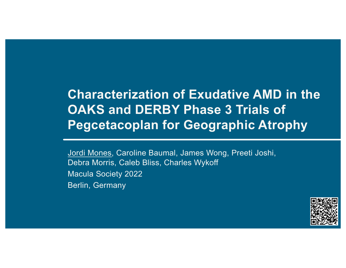# **Characterization of Exudative AMD in the OAKS and DERBY Phase 3 Trials of Pegcetacoplan for Geographic Atrophy**

Jordi Mones, Caroline Baumal, James Wong, Preeti Joshi, Debra Morris, Caleb Bliss, Charles Wykoff Macula Society 2022 Berlin, Germany

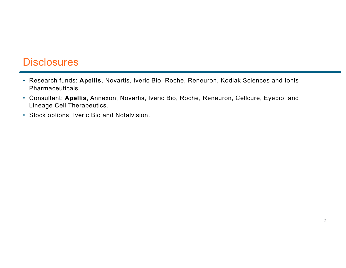### **Disclosures**

- Research funds: **Apellis**, Novartis, Iveric Bio, Roche, Reneuron, Kodiak Sciences and Ionis Pharmaceuticals.
- Consultant: **Apellis**, Annexon, Novartis, Iveric Bio, Roche, Reneuron, Cellcure, Eyebio, and Lineage Cell Therapeutics.
- Stock options: Iveric Bio and Notalvision.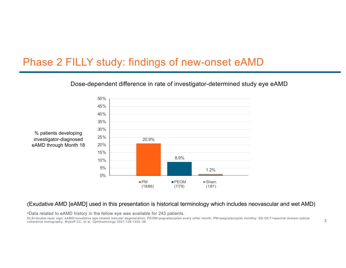### Phase 2 FILLY study: findings of new-onset eAMD



#### Dose-dependent difference in rate of investigator-determined study eye eAMD

#### (Exudative AMD [eAMD] used in this presentation is historical terminology which includes neovascular and wet AMD)

aData related to eAMD history in the fellow eye was available for 243 patients.

DLS=double-layer sign; eAMD=exudative age-related macular degeneration; PEOM=pegcetacoplan every other month; PM=pegcetacoplan monthly; SD-OCT=spectral domain optical coherence tomography. Wykoff CC, et al. *Ophthalmology* 2021;128:1325–36.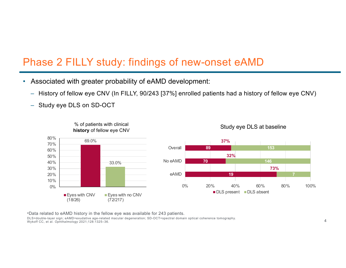### Phase 2 FILLY study: findings of new-onset eAMD

- Associated with greater probability of eAMD development:
	- History of fellow eye CNV (In FILLY, 90/243 [37%] enrolled patients had a history of fellow eye CNV)
	- Study eye DLS on SD-OCT



aData related to eAMD history in the fellow eye was available for 243 patients. DLS=double-layer sign; eAMD=exudative age-related macular degeneration; SD-OCT=spectral domain optical coherence tomography. Wykoff CC, et al. *Ophthalmology* 2021;128:1325–36.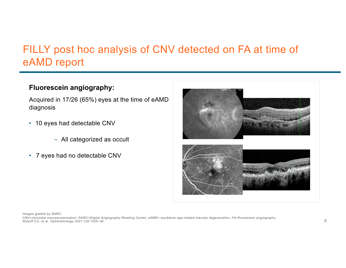### FILLY post hoc analysis of CNV detected on FA at time of eAMD report

#### **Fluorescein angiography:**

Acquired in 17/26 (65%) eyes at the time of eAMD diagnosis

- 10 eyes had detectable CNV
	- All categorized as occult
- 7 eyes had no detectable CNV



Images graded by DARC.

CNV=choroidal neovascularization; DARC=Digital Angiography Reading Center; eAMD= exudative age-related macular degeneration; FA=fluorescein angiography. Wykoff CC, et al. *Ophthalmology* 2021;128:1325–36.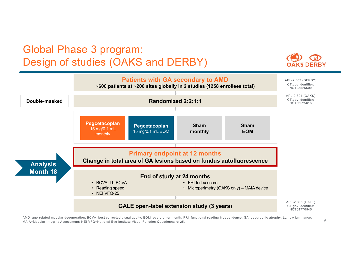### Global Phase 3 program: Design of studies (OAKS and DERBY)



AMD=age-related macular degeneration; BCVA=best corrected visual acuity; EOM=every other month; FRI=functional reading independence; GA=geographic atrophy; LL=low luminance; MAIA=Macular Integrity Assessment; NEI-VFQ=National Eye Institute Visual Function Questionnaire-25.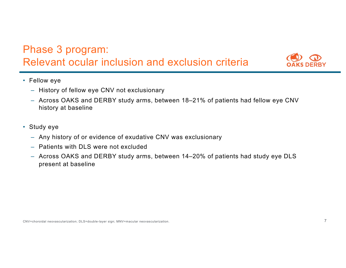



- Fellow eye
	- History of fellow eye CNV not exclusionary
	- Across OAKS and DERBY study arms, between 18–21% of patients had fellow eye CNV history at baseline
- Study eye
	- Any history of or evidence of exudative CNV was exclusionary
	- Patients with DLS were not excluded
	- Across OAKS and DERBY study arms, between 14–20% of patients had study eye DLS present at baseline

CNV=choroidal neovascularization; DLS=double-layer sign; MNV=macular neovascularization.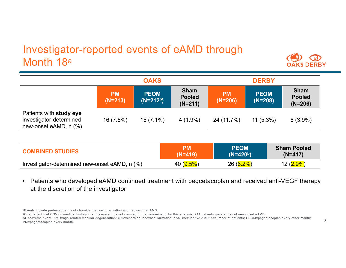### Investigator-reported events of eAMD through Month 18a



|                                                                             | <b>OAKS</b>            |                           |                                           | <b>DERBY</b>           |                          |                                           |
|-----------------------------------------------------------------------------|------------------------|---------------------------|-------------------------------------------|------------------------|--------------------------|-------------------------------------------|
|                                                                             | <b>PM</b><br>$(N=213)$ | <b>PEOM</b><br>$(N=212b)$ | <b>Sham</b><br><b>Pooled</b><br>$(N=211)$ | <b>PM</b><br>$(N=206)$ | <b>PEOM</b><br>$(N=208)$ | <b>Sham</b><br><b>Pooled</b><br>$(N=206)$ |
| Patients with study eye<br>investigator-determined<br>new-onset eAMD, n (%) | 16(7.5%)               | $15(7.1\%)$               | $4(1.9\%)$                                | 24 (11.7%)             | $11(5.3\%)$              | $8(3.9\%)$                                |

| <b>COMBINED STUDIES</b>                       | РM           | <b>PEOM</b> | <b>Sham Pooled</b> |
|-----------------------------------------------|--------------|-------------|--------------------|
|                                               | $(N=419)$    | $(N=420b)$  | $(N=417)$          |
| Investigator-determined new-onset eAMD, n (%) | 40 $(9.5\%)$ | $26(6.2\%)$ | $12(2.9\%)$        |

• Patients who developed eAMD continued treatment with pegcetacoplan and received anti-VEGF therapy at the discretion of the investigator

bOne patient had CNV on medical history in study eye and is not counted in the denominator for this analysis. 211 patients were at risk of new-onset eAMD.

AE=adverse event; AMD=age-related macular degeneration; CNV=choroidal neovascularization; eAMD=exudative AMD; n=number of patients; PEOM=pegcetacoplan every other month; PM=pegcetacoplan every month.

aEvents include preferred terms of choroidal neovascularization and neovascular AMD.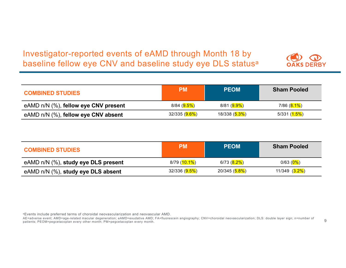### Investigator-reported events of eAMD through Month 18 by baseline fellow eye CNV and baseline study eye DLS status<sup>a</sup>



| <b>COMBINED STUDIES</b>                    | <b>PM</b>                    | <b>PEOM</b>                  | <b>Sham Pooled</b>          |
|--------------------------------------------|------------------------------|------------------------------|-----------------------------|
| eAMD $n/N$ $(\%)$ , fellow eye CNV present | 8/84 ( <mark>9.5%</mark> )   | 8/81 ( <mark>9.9%</mark> )   | 7/86 ( <mark>8.1%</mark> )  |
| eAMD $n/N$ $(\%)$ , fellow eye CNV absent  | 32/335 ( <mark>9.6%</mark> ) | 18/338 ( <mark>5.3%</mark> ) | 5/331 ( <mark>1.5%</mark> ) |

| <b>COMBINED STUDIES</b>             | <b>PM</b>                    | <b>PEOM</b>                  | <b>Sham Pooled</b>           |
|-------------------------------------|------------------------------|------------------------------|------------------------------|
| eAMD n/N (%), study eye DLS present | 8/79 ( <mark>10.1%</mark> )  | 6/73 ( <mark>8.2%</mark> )   | 0/63 ( $0\%$ )               |
| eAMD n/N (%), study eye DLS absent  | 32/336 ( <mark>9.5%</mark> ) | 20/345 ( <mark>5.8%</mark> ) | 11/349 ( <mark>3.2%</mark> ) |

aEvents include preferred terms of choroidal neovascularization and neovascular AMD.

AE=adverse event; AMD=age-related macular degeneration; eAMD=exudative AMD; FA=fluorescein angiography; CNV=choroidal neovascularization; DLS: double layer sign; n=number of patients; PEOM=pegcetacoplan every other month; PM=pegcetacoplan every month.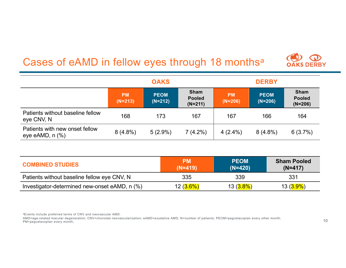## Cases of eAMD in fellow eyes through 18 monthsa



|                                                     | <b>OAKS</b>            |                          |                                           | <b>DERBY</b>           |                          |                                           |
|-----------------------------------------------------|------------------------|--------------------------|-------------------------------------------|------------------------|--------------------------|-------------------------------------------|
|                                                     | <b>PM</b><br>$(N=213)$ | <b>PEOM</b><br>$(N=212)$ | <b>Sham</b><br><b>Pooled</b><br>$(N=211)$ | <b>PM</b><br>$(N=206)$ | <b>PEOM</b><br>$(N=206)$ | <b>Sham</b><br><b>Pooled</b><br>$(N=206)$ |
| Patients without baseline fellow<br>eye CNV, N      | 168                    | 173                      | 167                                       | 167                    | 166                      | 164                                       |
| Patients with new onset fellow<br>eye eAMD, $n$ $%$ | $8(4.8\%)$             | $5(2.9\%)$               | $7(4.2\%)$                                | $4(2.4\%)$             | $8(4.8\%)$               | 6(3.7%)                                   |

| <b>COMBINED STUDIES</b>                       | <b>PM</b><br>$(N=419)$ | <b>PEOM</b><br>$(N=420)$ | <b>Sham Pooled</b><br>$(N=417)$ |
|-----------------------------------------------|------------------------|--------------------------|---------------------------------|
| Patients without baseline fellow eye CNV, N   | 335                    | 339                      | 331                             |
| Investigator-determined new-onset eAMD, n (%) | $12(3.6\%)$            | 13 ( <mark>3.8%</mark> ) | 13 ( <mark>3.9%</mark> )        |

aEvents include preferred terms of CNV and neovascular AMD.

AMD=age-related macular degeneration; CNV=choroidal neovascularization; eAMD=exudative AMD; N=number of patients; PEOM=pegcetacoplan every other month; PM=pegcetacoplan every month;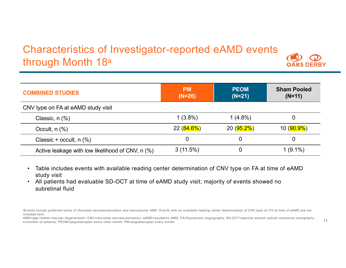### Characteristics of Investigator-reported eAMD events through Month 18a



| <b>COMBINED STUDIES</b>                          | <b>PM</b><br>$(N=26)$ | <b>PEOM</b><br>$(N=21)$ | <b>Sham Pooled</b><br>$(N=11)$ |
|--------------------------------------------------|-----------------------|-------------------------|--------------------------------|
| CNV type on FA at eAMD study visit               |                       |                         |                                |
| Classic, $n$ $(\%)$                              | $1(3.8\%)$            | $1(4.8\%)$              |                                |
| Occult, $n$ $(\%)$                               | 22 ( <b>84.6%</b> )   | 20 ( <b>95.2%</b> )     | 10 ( <mark>90.9%</mark> )      |
| Classic + occult, $n$ (%)                        |                       | 0                       |                                |
| Active leakage with low likelihood of CNV, n (%) | 3(11.5%)              | $\mathbf 0$             | $1(9.1\%)$                     |

- Table includes events with available reading center determination of CNV type on FA at time of eAMD study visit
- All patients had evaluable SD-OCT at time of eAMD study visit; majority of events showed no subretinal fluid

aEvents include preferred terms of choroidal neovascularization and neovascular AMD. Events with no available reading center determination of CNV type on FA at time of eAMD are not included here.

AMD=age-related macular degeneration; CNV=choroidal neovascularization; eAMD=exudative AMD; FA=fluorescein angiography; SD-OCT=spectral domain optical coherence tomography; n=number of patients; PEOM=pegcetacoplan every other month; PM=pegcetacoplan every month.